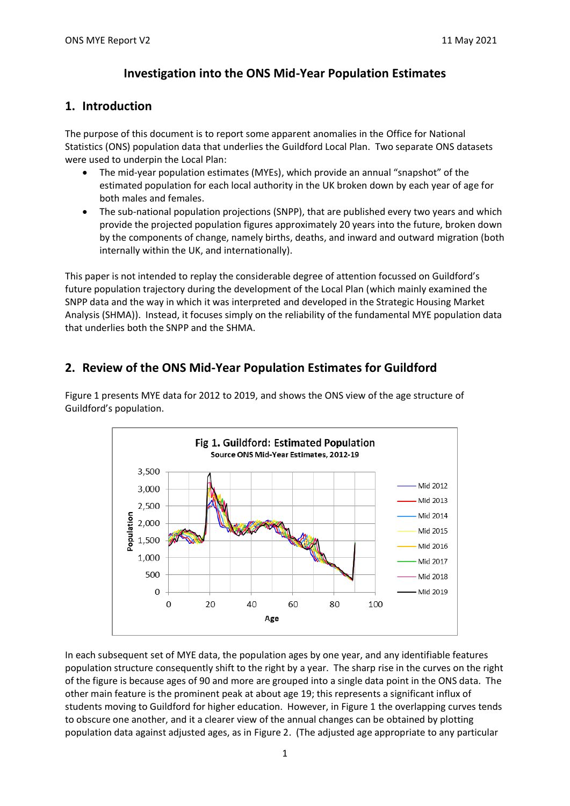# **Investigation into the ONS Mid-Year Population Estimates**

### **1. Introduction**

The purpose of this document is to report some apparent anomalies in the Office for National Statistics (ONS) population data that underlies the Guildford Local Plan. Two separate ONS datasets were used to underpin the Local Plan:

- The mid-year population estimates (MYEs), which provide an annual "snapshot" of the estimated population for each local authority in the UK broken down by each year of age for both males and females.
- The sub-national population projections (SNPP), that are published every two years and which provide the projected population figures approximately 20 years into the future, broken down by the components of change, namely births, deaths, and inward and outward migration (both internally within the UK, and internationally).

This paper is not intended to replay the considerable degree of attention focussed on Guildford's future population trajectory during the development of the Local Plan (which mainly examined the SNPP data and the way in which it was interpreted and developed in the Strategic Housing Market Analysis (SHMA)). Instead, it focuses simply on the reliability of the fundamental MYE population data that underlies both the SNPP and the SHMA.

# **2. Review of the ONS Mid-Year Population Estimates for Guildford**

Figure 1 presents MYE data for 2012 to 2019, and shows the ONS view of the age structure of Guildford's population.



In each subsequent set of MYE data, the population ages by one year, and any identifiable features population structure consequently shift to the right by a year. The sharp rise in the curves on the right of the figure is because ages of 90 and more are grouped into a single data point in the ONS data. The other main feature is the prominent peak at about age 19; this represents a significant influx of students moving to Guildford for higher education. However, in Figure 1 the overlapping curves tends to obscure one another, and it a clearer view of the annual changes can be obtained by plotting population data against adjusted ages, as in Figure 2. (The adjusted age appropriate to any particular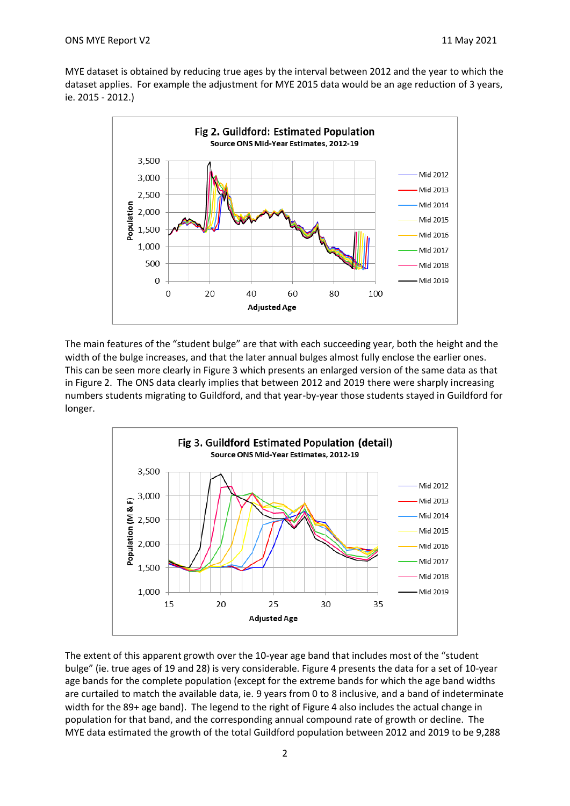MYE dataset is obtained by reducing true ages by the interval between 2012 and the year to which the dataset applies. For example the adjustment for MYE 2015 data would be an age reduction of 3 years, ie. 2015 - 2012.)



The main features of the "student bulge" are that with each succeeding year, both the height and the width of the bulge increases, and that the later annual bulges almost fully enclose the earlier ones. This can be seen more clearly in Figure 3 which presents an enlarged version of the same data as that in Figure 2. The ONS data clearly implies that between 2012 and 2019 there were sharply increasing numbers students migrating to Guildford, and that year-by-year those students stayed in Guildford for longer.



The extent of this apparent growth over the 10-year age band that includes most of the "student bulge" (ie. true ages of 19 and 28) is very considerable. Figure 4 presents the data for a set of 10-year age bands for the complete population (except for the extreme bands for which the age band widths are curtailed to match the available data, ie. 9 years from 0 to 8 inclusive, and a band of indeterminate width for the 89+ age band). The legend to the right of Figure 4 also includes the actual change in population for that band, and the corresponding annual compound rate of growth or decline. The MYE data estimated the growth of the total Guildford population between 2012 and 2019 to be 9,288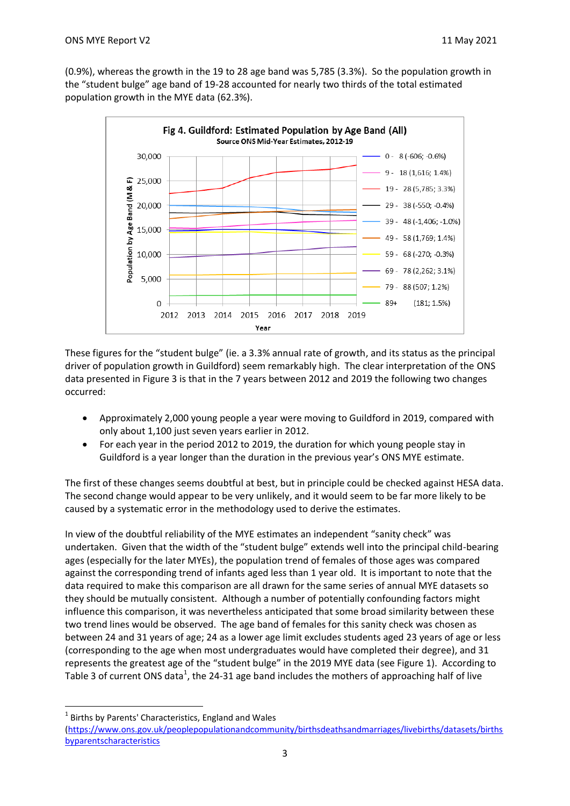(0.9%), whereas the growth in the 19 to 28 age band was 5,785 (3.3%). So the population growth in the "student bulge" age band of 19-28 accounted for nearly two thirds of the total estimated population growth in the MYE data (62.3%).



These figures for the "student bulge" (ie. a 3.3% annual rate of growth, and its status as the principal driver of population growth in Guildford) seem remarkably high. The clear interpretation of the ONS data presented in Figure 3 is that in the 7 years between 2012 and 2019 the following two changes occurred:

- Approximately 2,000 young people a year were moving to Guildford in 2019, compared with only about 1,100 just seven years earlier in 2012.
- For each year in the period 2012 to 2019, the duration for which young people stay in Guildford is a year longer than the duration in the previous year's ONS MYE estimate.

The first of these changes seems doubtful at best, but in principle could be checked against HESA data. The second change would appear to be very unlikely, and it would seem to be far more likely to be caused by a systematic error in the methodology used to derive the estimates.

In view of the doubtful reliability of the MYE estimates an independent "sanity check" was undertaken. Given that the width of the "student bulge" extends well into the principal child-bearing ages (especially for the later MYEs), the population trend of females of those ages was compared against the corresponding trend of infants aged less than 1 year old. It is important to note that the data required to make this comparison are all drawn for the same series of annual MYE datasets so they should be mutually consistent. Although a number of potentially confounding factors might influence this comparison, it was nevertheless anticipated that some broad similarity between these two trend lines would be observed. The age band of females for this sanity check was chosen as between 24 and 31 years of age; 24 as a lower age limit excludes students aged 23 years of age or less (corresponding to the age when most undergraduates would have completed their degree), and 31 represents the greatest age of the "student bulge" in the 2019 MYE data (see Figure 1). According to Table 3 of current ONS data<sup>1</sup>, the 24-31 age band includes the mothers of approaching half of live

 $\overline{a}$ 

 $<sup>1</sup>$  Births by Parents' Characteristics, England and Wales</sup>

<sup>(</sup>https://www.ons.gov.uk/peoplepopulationandcommunity/birthsdeathsandmarriages/livebirths/datasets/births byparentscharacteristics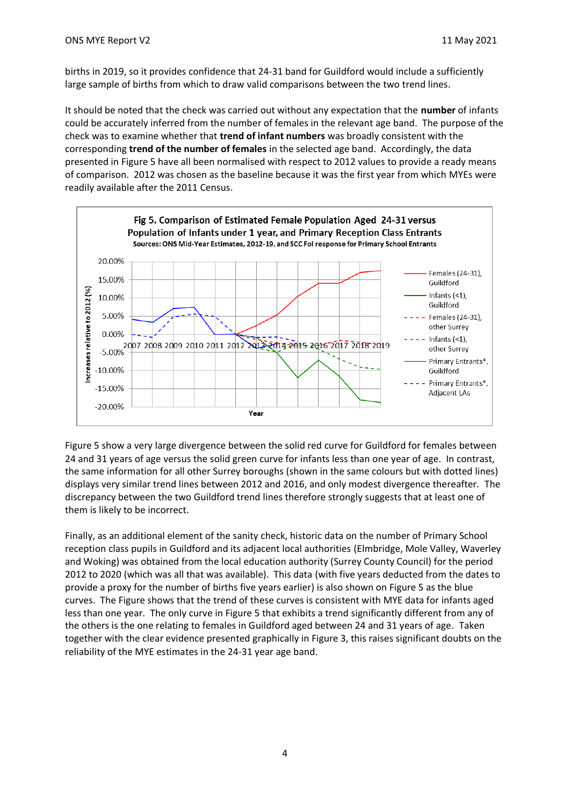births in 2019, so it provides confidence that 24-31 band for Guildford would include a sufficiently large sample of births from which to draw valid comparisons between the two trend lines.

It should be noted that the check was carried out without any expectation that the **number** of infants could be accurately inferred from the number of females in the relevant age band. The purpose of the check was to examine whether that **trend of infant numbers** was broadly consistent with the corresponding **trend of the number of females** in the selected age band. Accordingly, the data presented in Figure 5 have all been normalised with respect to 2012 values to provide a ready means of comparison. 2012 was chosen as the baseline because it was the first year from which MYEs were readily available after the 2011 Census.



Figure 5 show a very large divergence between the solid red curve for Guildford for females between 24 and 31 years of age versus the solid green curve for infants less than one year of age. In contrast, the same information for all other Surrey boroughs (shown in the same colours but with dotted lines) displays very similar trend lines between 2012 and 2016, and only modest divergence thereafter. The discrepancy between the two Guildford trend lines therefore strongly suggests that at least one of them is likely to be incorrect.

Finally, as an additional element of the sanity check, historic data on the number of Primary School reception class pupils in Guildford and its adjacent local authorities (Elmbridge, Mole Valley, Waverley and Woking) was obtained from the local education authority (Surrey County Council) for the period 2012 to 2020 (which was all that was available). This data (with five years deducted from the dates to provide a proxy for the number of births five years earlier) is also shown on Figure 5 as the blue curves. The Figure shows that the trend of these curves is consistent with MYE data for infants aged less than one year. The only curve in Figure 5 that exhibits a trend significantly different from any of the others is the one relating to females in Guildford aged between 24 and 31 years of age. Taken together with the clear evidence presented graphically in Figure 3, this raises significant doubts on the reliability of the MYE estimates in the 24-31 year age band.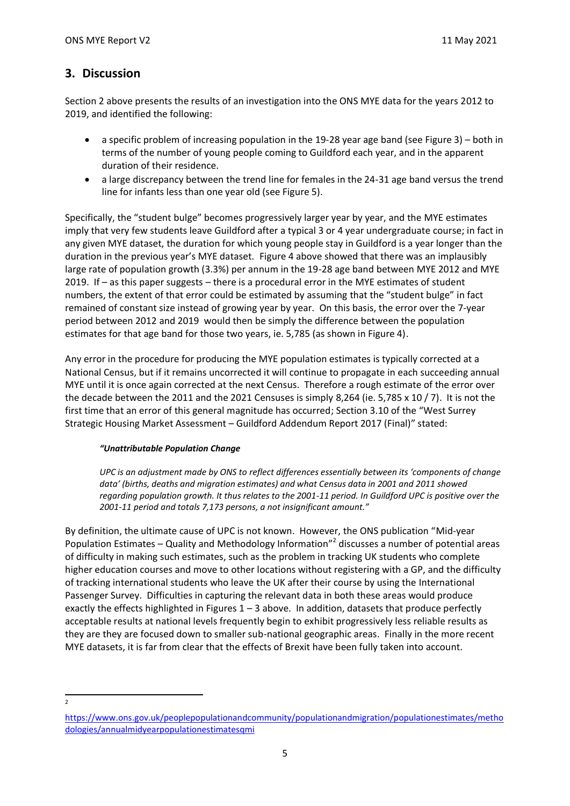## **3. Discussion**

Section 2 above presents the results of an investigation into the ONS MYE data for the years 2012 to 2019, and identified the following:

- a specific problem of increasing population in the 19-28 year age band (see Figure 3) both in terms of the number of young people coming to Guildford each year, and in the apparent duration of their residence.
- a large discrepancy between the trend line for females in the 24-31 age band versus the trend line for infants less than one year old (see Figure 5).

Specifically, the "student bulge" becomes progressively larger year by year, and the MYE estimates imply that very few students leave Guildford after a typical 3 or 4 year undergraduate course; in fact in any given MYE dataset, the duration for which young people stay in Guildford is a year longer than the duration in the previous year's MYE dataset. Figure 4 above showed that there was an implausibly large rate of population growth (3.3%) per annum in the 19-28 age band between MYE 2012 and MYE 2019. If – as this paper suggests – there is a procedural error in the MYE estimates of student numbers, the extent of that error could be estimated by assuming that the "student bulge" in fact remained of constant size instead of growing year by year. On this basis, the error over the 7-year period between 2012 and 2019 would then be simply the difference between the population estimates for that age band for those two years, ie. 5,785 (as shown in Figure 4).

Any error in the procedure for producing the MYE population estimates is typically corrected at a National Census, but if it remains uncorrected it will continue to propagate in each succeeding annual MYE until it is once again corrected at the next Census. Therefore a rough estimate of the error over the decade between the 2011 and the 2021 Censuses is simply 8,264 (ie. 5,785 x 10 / 7). It is not the first time that an error of this general magnitude has occurred; Section 3.10 of the "West Surrey Strategic Housing Market Assessment – Guildford Addendum Report 2017 (Final)" stated:

#### *"Unattributable Population Change*

*UPC is an adjustment made by ONS to reflect differences essentially between its 'components of change data' (births, deaths and migration estimates) and what Census data in 2001 and 2011 showed regarding population growth. It thus relates to the 2001-11 period. In Guildford UPC is positive over the 2001-11 period and totals 7,173 persons, a not insignificant amount."*

By definition, the ultimate cause of UPC is not known. However, the ONS publication "Mid-year Population Estimates – Quality and Methodology Information"<sup>2</sup> discusses a number of potential areas of difficulty in making such estimates, such as the problem in tracking UK students who complete higher education courses and move to other locations without registering with a GP, and the difficulty of tracking international students who leave the UK after their course by using the International Passenger Survey. Difficulties in capturing the relevant data in both these areas would produce exactly the effects highlighted in Figures  $1 - 3$  above. In addition, datasets that produce perfectly acceptable results at national levels frequently begin to exhibit progressively less reliable results as they are they are focused down to smaller sub-national geographic areas. Finally in the more recent MYE datasets, it is far from clear that the effects of Brexit have been fully taken into account.

 $\frac{1}{2}$ 

https://www.ons.gov.uk/peoplepopulationandcommunity/populationandmigration/populationestimates/metho dologies/annualmidyearpopulationestimatesqmi